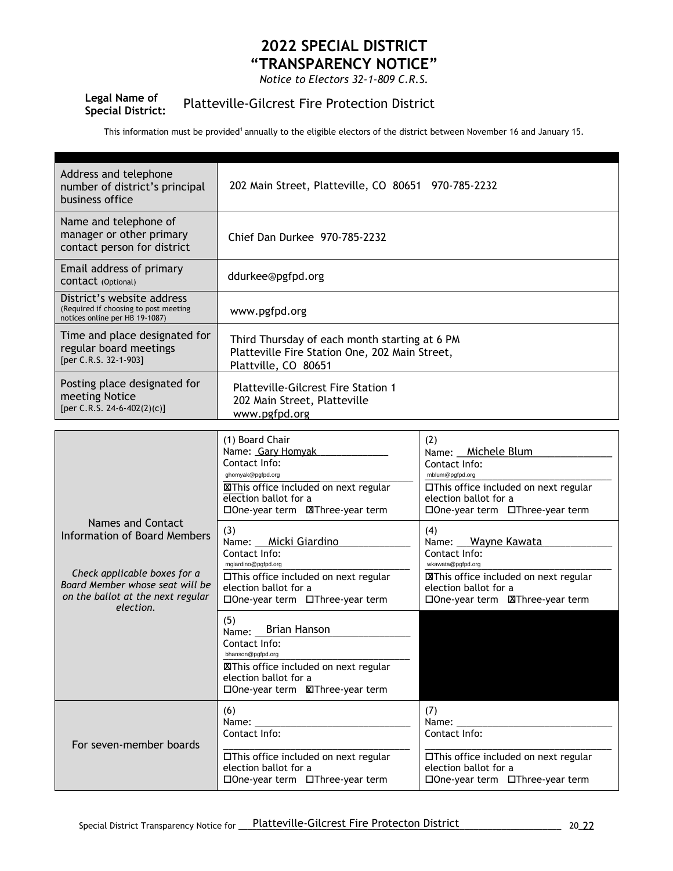## **2022 SPECIAL DISTRICT "TRANSPARENCY NOTICE"**

*Notice to Electors 32-1-809 C.R.S.*

## **Legal Name of Special District:** Platteville-Gilcrest Fire Protection District

This information must be provided<sup>1</sup> annually to the eligible electors of the district between November 16 and January 15.

| Address and telephone<br>number of district's principal<br>business office                                                                                             | 202 Main Street, Platteville, CO 80651 970-785-2232                                                                                                                         |                                                                                                                                                                    |  |
|------------------------------------------------------------------------------------------------------------------------------------------------------------------------|-----------------------------------------------------------------------------------------------------------------------------------------------------------------------------|--------------------------------------------------------------------------------------------------------------------------------------------------------------------|--|
| Name and telephone of<br>manager or other primary<br>contact person for district                                                                                       | Chief Dan Durkee 970-785-2232                                                                                                                                               |                                                                                                                                                                    |  |
| Email address of primary<br>CONTACT (Optional)                                                                                                                         | ddurkee@pgfpd.org                                                                                                                                                           |                                                                                                                                                                    |  |
| District's website address<br>(Required if choosing to post meeting<br>notices online per HB 19-1087)                                                                  | www.pgfpd.org                                                                                                                                                               |                                                                                                                                                                    |  |
| Time and place designated for<br>regular board meetings<br>[per C.R.S. 32-1-903]                                                                                       | Third Thursday of each month starting at 6 PM<br>Platteville Fire Station One, 202 Main Street,<br>Plattville, CO 80651                                                     |                                                                                                                                                                    |  |
| Posting place designated for<br>meeting Notice<br>[per C.R.S. 24-6-402(2)(c)]                                                                                          | <b>Platteville-Gilcrest Fire Station 1</b><br>202 Main Street, Platteville<br>www.pgfpd.org                                                                                 |                                                                                                                                                                    |  |
|                                                                                                                                                                        |                                                                                                                                                                             |                                                                                                                                                                    |  |
| Names and Contact<br>Information of Board Members<br>Check applicable boxes for a<br>Board Member whose seat will be<br>on the ballot at the next regular<br>election. | (1) Board Chair<br>Name: Gary Homyak<br>Contact Info:<br>ghomyak@pgfpd.org<br><b>XIThis office included on next regular</b><br>election ballot for a                        | (2)<br>Name: Michele Blum<br>Contact Info:<br>mblum@pgfpd.org<br>□This office included on next regular<br>election ballot for a<br>□One-year term □Three-year term |  |
|                                                                                                                                                                        | (3)<br>Name: __ Micki Giardino<br>Contact Info:<br>mgiardino@pgfpd.org<br>□This office included on next regular<br>election ballot for a<br>□One-year term □Three-year term | (4)<br>Name: Wayne Kawata<br>Contact Info:<br>wkawata@pgfpd.org<br><b>EXThis office included on next regular</b><br>election ballot for a                          |  |
|                                                                                                                                                                        | (5)<br><b>Brian Hanson</b><br>Name:<br>Contact Info:<br>bhanson@pgfpd.org<br><b>XIThis office included on next regular</b><br>election ballot for a                         |                                                                                                                                                                    |  |
| For seven-member boards                                                                                                                                                | (6)<br>Name:<br>Contact Info:<br>□This office included on next regular<br>election ballot for a                                                                             | (7)<br>Name:<br>Contact Info:<br>□This office included on next regular<br>election ballot for a                                                                    |  |

One-year term Three-year term

One-year term Three-year term